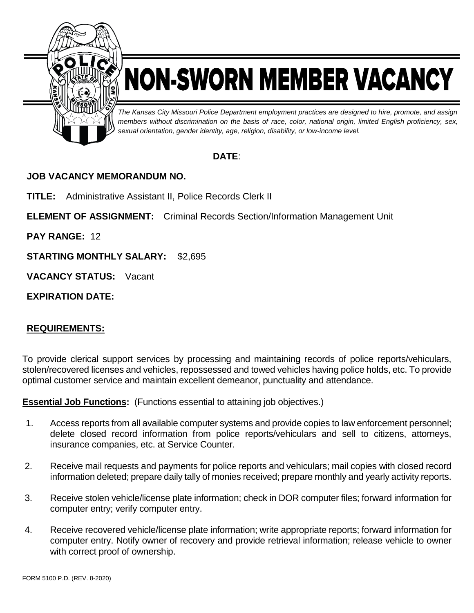

## NON-SWORN MEMBER VACANCY

*The Kansas City Missouri Police Department employment practices are designed to hire, promote, and assign members without discrimination on the basis of race, color, national origin, limited English proficiency, sex, sexual orientation, gender identity, age, religion, disability, or low-income level.*

## **DATE**:

## **JOB VACANCY MEMORANDUM NO.**

**TITLE:** Administrative Assistant II, Police Records Clerk II

**ELEMENT OF ASSIGNMENT:** Criminal Records Section/Information Management Unit

**PAY RANGE:** 12

**STARTING MONTHLY SALARY:** \$2,695

**VACANCY STATUS:** Vacant

**EXPIRATION DATE:**

## **REQUIREMENTS:**

To provide clerical support services by processing and maintaining records of police reports/vehiculars, stolen/recovered licenses and vehicles, repossessed and towed vehicles having police holds, etc. To provide optimal customer service and maintain excellent demeanor, punctuality and attendance.

**Essential Job Functions:** (Functions essential to attaining job objectives.)

- 1. Access reports from all available computer systems and provide copies to law enforcement personnel; delete closed record information from police reports/vehiculars and sell to citizens, attorneys, insurance companies, etc. at Service Counter.
- 2. Receive mail requests and payments for police reports and vehiculars; mail copies with closed record information deleted; prepare daily tally of monies received; prepare monthly and yearly activity reports.
- 3. Receive stolen vehicle/license plate information; check in DOR computer files; forward information for computer entry; verify computer entry.
- 4. Receive recovered vehicle/license plate information; write appropriate reports; forward information for computer entry. Notify owner of recovery and provide retrieval information; release vehicle to owner with correct proof of ownership.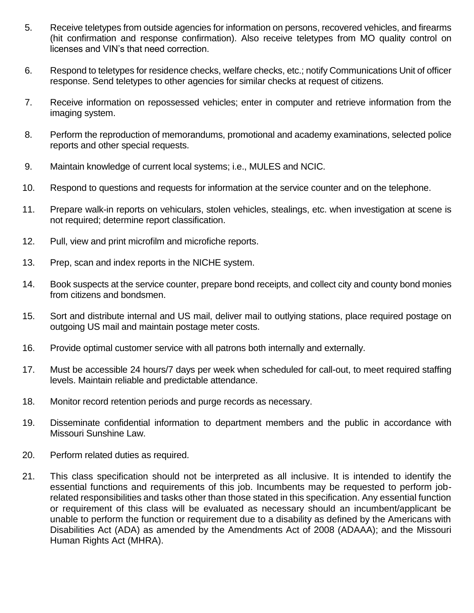- 5. Receive teletypes from outside agencies for information on persons, recovered vehicles, and firearms (hit confirmation and response confirmation). Also receive teletypes from MO quality control on licenses and VIN's that need correction.
- 6. Respond to teletypes for residence checks, welfare checks, etc.; notify Communications Unit of officer response. Send teletypes to other agencies for similar checks at request of citizens.
- 7. Receive information on repossessed vehicles; enter in computer and retrieve information from the imaging system.
- 8. Perform the reproduction of memorandums, promotional and academy examinations, selected police reports and other special requests.
- 9. Maintain knowledge of current local systems; i.e., MULES and NCIC.
- 10. Respond to questions and requests for information at the service counter and on the telephone.
- 11. Prepare walk-in reports on vehiculars, stolen vehicles, stealings, etc. when investigation at scene is not required; determine report classification.
- 12. Pull, view and print microfilm and microfiche reports.
- 13. Prep, scan and index reports in the NICHE system.
- 14. Book suspects at the service counter, prepare bond receipts, and collect city and county bond monies from citizens and bondsmen.
- 15. Sort and distribute internal and US mail, deliver mail to outlying stations, place required postage on outgoing US mail and maintain postage meter costs.
- 16. Provide optimal customer service with all patrons both internally and externally.
- 17. Must be accessible 24 hours/7 days per week when scheduled for call-out, to meet required staffing levels. Maintain reliable and predictable attendance.
- 18. Monitor record retention periods and purge records as necessary.
- 19. Disseminate confidential information to department members and the public in accordance with Missouri Sunshine Law.
- 20. Perform related duties as required.
- 21. This class specification should not be interpreted as all inclusive. It is intended to identify the essential functions and requirements of this job. Incumbents may be requested to perform jobrelated responsibilities and tasks other than those stated in this specification. Any essential function or requirement of this class will be evaluated as necessary should an incumbent/applicant be unable to perform the function or requirement due to a disability as defined by the Americans with Disabilities Act (ADA) as amended by the Amendments Act of 2008 (ADAAA); and the Missouri Human Rights Act (MHRA).